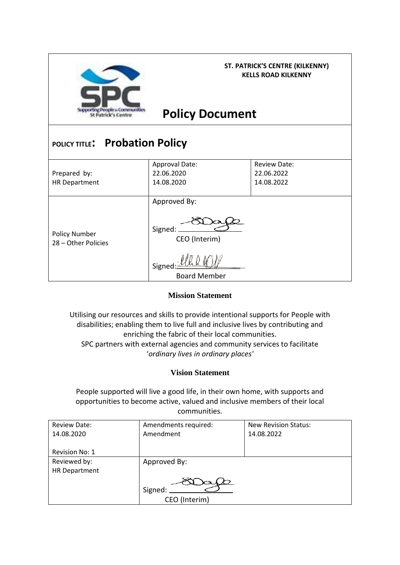

**ST. PATRICK'S CENTRE (KILKENNY) KELLS ROAD KILKENNY**

## **Policy Document**

# **POLICY TITLE: Probation Policy**

| Prepared by:<br>HR Department               | Approval Date:<br>22.06.2020<br>14.08.2020                                | <b>Review Date:</b><br>22.06.2022<br>14.08.2022 |
|---------------------------------------------|---------------------------------------------------------------------------|-------------------------------------------------|
| <b>Policy Number</b><br>28 - Other Policies | Approved By:<br>Signed:<br>CEO (Interim)<br>Signec<br><b>Board Member</b> |                                                 |

### **Mission Statement**

Utilising our resources and skills to provide intentional supports for People with disabilities; enabling them to live full and inclusive lives by contributing and enriching the fabric of their local communities. SPC partners with external agencies and community services to facilitate '*ordinary lives in ordinary places'*

### **Vision Statement**

People supported will live a good life, in their own home, with supports and opportunities to become active, valued and inclusive members of their local communities.

| <b>Review Date:</b>   | Amendments required: | <b>New Revision Status:</b> |
|-----------------------|----------------------|-----------------------------|
| 14.08.2020            | Amendment            | 14.08.2022                  |
|                       |                      |                             |
| <b>Revision No: 1</b> |                      |                             |
| Reviewed by:          | Approved By:         |                             |
| <b>HR Department</b>  |                      |                             |
|                       |                      |                             |
|                       | Signed:              |                             |
|                       | CEO (Interim)        |                             |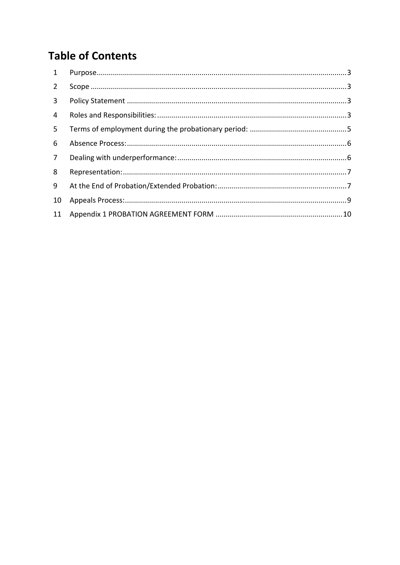## **Table of Contents**

| $\mathbf{1}$   |  |
|----------------|--|
| $\overline{2}$ |  |
| $\mathbf{3}$   |  |
| $\overline{4}$ |  |
| 5.             |  |
| 6              |  |
| $\overline{7}$ |  |
| 8              |  |
| 9              |  |
| 10             |  |
| 11             |  |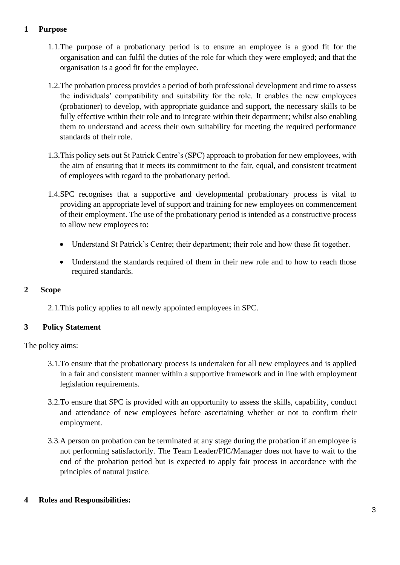## <span id="page-2-0"></span>**1 Purpose**

- 1.1.The purpose of a probationary period is to ensure an employee is a good fit for the organisation and can fulfil the duties of the role for which they were employed; and that the organisation is a good fit for the employee.
- 1.2.The probation process provides a period of both professional development and time to assess the individuals' compatibility and suitability for the role. It enables the new employees (probationer) to develop, with appropriate guidance and support, the necessary skills to be fully effective within their role and to integrate within their department; whilst also enabling them to understand and access their own suitability for meeting the required performance standards of their role.
- 1.3.This policy sets out St Patrick Centre's (SPC) approach to probation for new employees, with the aim of ensuring that it meets its commitment to the fair, equal, and consistent treatment of employees with regard to the probationary period.
- 1.4.SPC recognises that a supportive and developmental probationary process is vital to providing an appropriate level of support and training for new employees on commencement of their employment. The use of the probationary period is intended as a constructive process to allow new employees to:
	- Understand St Patrick's Centre; their department; their role and how these fit together.
	- Understand the standards required of them in their new role and to how to reach those required standards.

### <span id="page-2-1"></span>**2 Scope**

2.1.This policy applies to all newly appointed employees in SPC.

## <span id="page-2-2"></span>**3 Policy Statement**

The policy aims:

- 3.1.To ensure that the probationary process is undertaken for all new employees and is applied in a fair and consistent manner within a supportive framework and in line with employment legislation requirements.
- 3.2.To ensure that SPC is provided with an opportunity to assess the skills, capability, conduct and attendance of new employees before ascertaining whether or not to confirm their employment.
- 3.3.A person on probation can be terminated at any stage during the probation if an employee is not performing satisfactorily. The Team Leader/PIC/Manager does not have to wait to the end of the probation period but is expected to apply fair process in accordance with the principles of natural justice.

### <span id="page-2-3"></span>**4 Roles and Responsibilities:**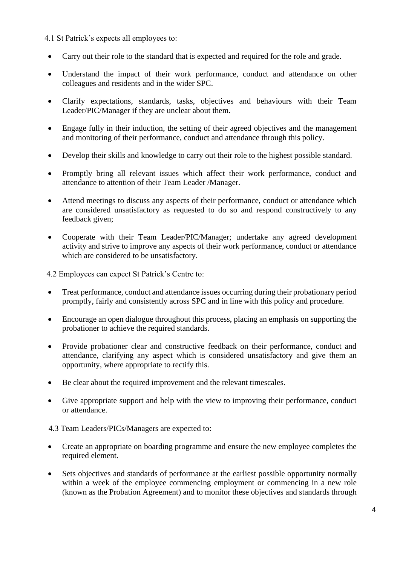4.1 St Patrick's expects all employees to:

- Carry out their role to the standard that is expected and required for the role and grade.
- Understand the impact of their work performance, conduct and attendance on other colleagues and residents and in the wider SPC.
- Clarify expectations, standards, tasks, objectives and behaviours with their Team Leader/PIC/Manager if they are unclear about them.
- Engage fully in their induction, the setting of their agreed objectives and the management and monitoring of their performance, conduct and attendance through this policy.
- Develop their skills and knowledge to carry out their role to the highest possible standard.
- Promptly bring all relevant issues which affect their work performance, conduct and attendance to attention of their Team Leader /Manager.
- Attend meetings to discuss any aspects of their performance, conduct or attendance which are considered unsatisfactory as requested to do so and respond constructively to any feedback given;
- Cooperate with their Team Leader/PIC/Manager; undertake any agreed development activity and strive to improve any aspects of their work performance, conduct or attendance which are considered to be unsatisfactory.

4.2 Employees can expect St Patrick's Centre to:

- Treat performance, conduct and attendance issues occurring during their probationary period promptly, fairly and consistently across SPC and in line with this policy and procedure.
- Encourage an open dialogue throughout this process, placing an emphasis on supporting the probationer to achieve the required standards.
- Provide probationer clear and constructive feedback on their performance, conduct and attendance, clarifying any aspect which is considered unsatisfactory and give them an opportunity, where appropriate to rectify this.
- Be clear about the required improvement and the relevant timescales.
- Give appropriate support and help with the view to improving their performance, conduct or attendance.
- 4.3 Team Leaders/PICs/Managers are expected to:
- Create an appropriate on boarding programme and ensure the new employee completes the required element.
- Sets objectives and standards of performance at the earliest possible opportunity normally within a week of the employee commencing employment or commencing in a new role (known as the Probation Agreement) and to monitor these objectives and standards through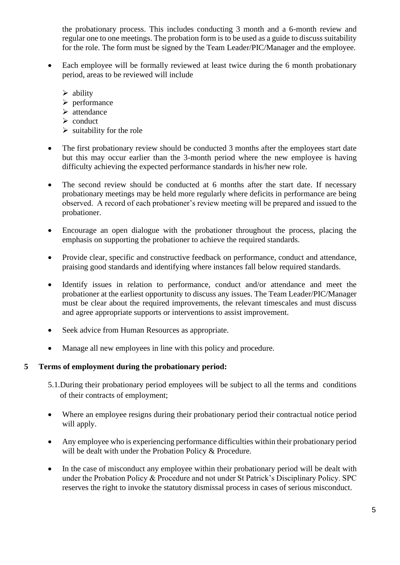the probationary process. This includes conducting 3 month and a 6-month review and regular one to one meetings. The probation form is to be used as a guide to discuss suitability for the role. The form must be signed by the Team Leader/PIC/Manager and the employee.

- Each employee will be formally reviewed at least twice during the 6 month probationary period, areas to be reviewed will include
	- ➢ ability
	- ➢ performance
	- ➢ attendance
	- ➢ conduct
	- $\triangleright$  suitability for the role
- The first probationary review should be conducted 3 months after the employees start date but this may occur earlier than the 3-month period where the new employee is having difficulty achieving the expected performance standards in his/her new role.
- The second review should be conducted at 6 months after the start date. If necessary probationary meetings may be held more regularly where deficits in performance are being observed. A record of each probationer's review meeting will be prepared and issued to the probationer.
- Encourage an open dialogue with the probationer throughout the process, placing the emphasis on supporting the probationer to achieve the required standards.
- Provide clear, specific and constructive feedback on performance, conduct and attendance, praising good standards and identifying where instances fall below required standards.
- Identify issues in relation to performance, conduct and/or attendance and meet the probationer at the earliest opportunity to discuss any issues. The Team Leader/PIC/Manager must be clear about the required improvements, the relevant timescales and must discuss and agree appropriate supports or interventions to assist improvement.
- Seek advice from Human Resources as appropriate.
- Manage all new employees in line with this policy and procedure.

### <span id="page-4-0"></span>**5 Terms of employment during the probationary period:**

- 5.1.During their probationary period employees will be subject to all the terms and conditions of their contracts of employment;
- Where an employee resigns during their probationary period their contractual notice period will apply.
- Any employee who is experiencing performance difficulties within their probationary period will be dealt with under the Probation Policy & Procedure.
- In the case of misconduct any employee within their probationary period will be dealt with under the Probation Policy & Procedure and not under St Patrick's Disciplinary Policy. SPC reserves the right to invoke the statutory dismissal process in cases of serious misconduct.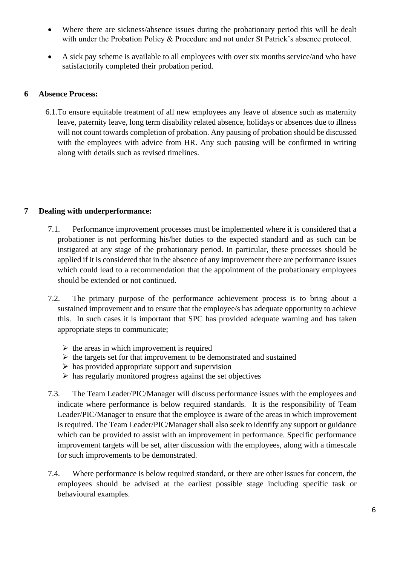- Where there are sickness/absence issues during the probationary period this will be dealt with under the Probation Policy & Procedure and not under St Patrick's absence protocol.
- A sick pay scheme is available to all employees with over six months service/and who have satisfactorily completed their probation period.

#### <span id="page-5-0"></span>**6 Absence Process:**

6.1.To ensure equitable treatment of all new employees any leave of absence such as maternity leave, paternity leave, long term disability related absence, holidays or absences due to illness will not count towards completion of probation. Any pausing of probation should be discussed with the employees with advice from HR. Any such pausing will be confirmed in writing along with details such as revised timelines.

### <span id="page-5-1"></span>**7 Dealing with underperformance:**

- 7.1. Performance improvement processes must be implemented where it is considered that a probationer is not performing his/her duties to the expected standard and as such can be instigated at any stage of the probationary period. In particular, these processes should be applied if it is considered that in the absence of any improvement there are performance issues which could lead to a recommendation that the appointment of the probationary employees should be extended or not continued.
- 7.2. The primary purpose of the performance achievement process is to bring about a sustained improvement and to ensure that the employee/s has adequate opportunity to achieve this. In such cases it is important that SPC has provided adequate warning and has taken appropriate steps to communicate;
	- $\triangleright$  the areas in which improvement is required
	- ➢ the targets set for that improvement to be demonstrated and sustained
	- $\triangleright$  has provided appropriate support and supervision
	- $\triangleright$  has regularly monitored progress against the set objectives
- 7.3. The Team Leader/PIC/Manager will discuss performance issues with the employees and indicate where performance is below required standards. It is the responsibility of Team Leader/PIC/Manager to ensure that the employee is aware of the areas in which improvement is required. The Team Leader/PIC/Manager shall also seek to identify any support or guidance which can be provided to assist with an improvement in performance. Specific performance improvement targets will be set, after discussion with the employees, along with a timescale for such improvements to be demonstrated.
- 7.4. Where performance is below required standard, or there are other issues for concern, the employees should be advised at the earliest possible stage including specific task or behavioural examples.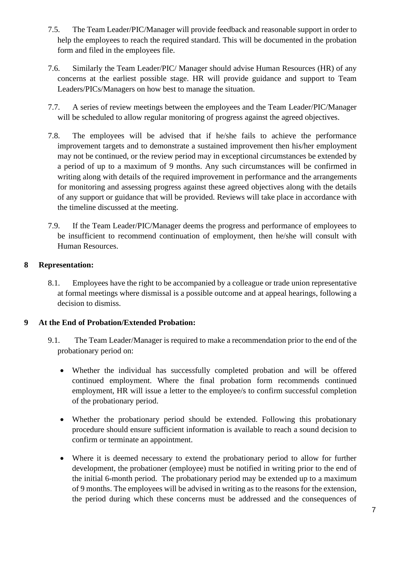- 7.5. The Team Leader/PIC/Manager will provide feedback and reasonable support in order to help the employees to reach the required standard. This will be documented in the probation form and filed in the employees file.
- 7.6. Similarly the Team Leader/PIC/ Manager should advise Human Resources (HR) of any concerns at the earliest possible stage. HR will provide guidance and support to Team Leaders/PICs/Managers on how best to manage the situation.
- 7.7. A series of review meetings between the employees and the Team Leader/PIC/Manager will be scheduled to allow regular monitoring of progress against the agreed objectives.
- 7.8. The employees will be advised that if he/she fails to achieve the performance improvement targets and to demonstrate a sustained improvement then his/her employment may not be continued, or the review period may in exceptional circumstances be extended by a period of up to a maximum of 9 months. Any such circumstances will be confirmed in writing along with details of the required improvement in performance and the arrangements for monitoring and assessing progress against these agreed objectives along with the details of any support or guidance that will be provided. Reviews will take place in accordance with the timeline discussed at the meeting.
- 7.9. If the Team Leader/PIC/Manager deems the progress and performance of employees to be insufficient to recommend continuation of employment, then he/she will consult with Human Resources.

## <span id="page-6-0"></span>**8 Representation:**

8.1. Employees have the right to be accompanied by a colleague or trade union representative at formal meetings where dismissal is a possible outcome and at appeal hearings, following a decision to dismiss.

### <span id="page-6-1"></span>**9 At the End of Probation/Extended Probation:**

- 9.1. The Team Leader/Manager is required to make a recommendation prior to the end of the probationary period on:
	- Whether the individual has successfully completed probation and will be offered continued employment. Where the final probation form recommends continued employment, HR will issue a letter to the employee/s to confirm successful completion of the probationary period.
	- Whether the probationary period should be extended. Following this probationary procedure should ensure sufficient information is available to reach a sound decision to confirm or terminate an appointment.
	- Where it is deemed necessary to extend the probationary period to allow for further development, the probationer (employee) must be notified in writing prior to the end of the initial 6-month period. The probationary period may be extended up to a maximum of 9 months. The employees will be advised in writing as to the reasons for the extension, the period during which these concerns must be addressed and the consequences of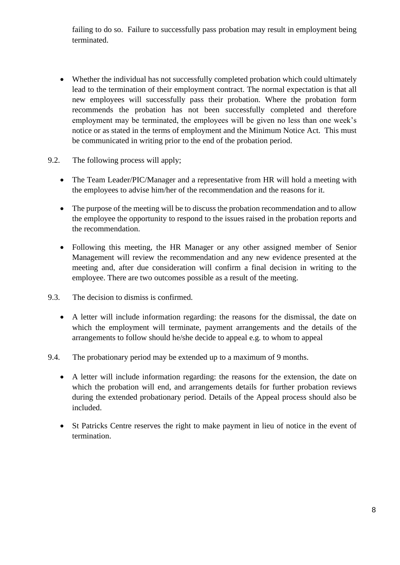failing to do so. Failure to successfully pass probation may result in employment being terminated.

- Whether the individual has not successfully completed probation which could ultimately lead to the termination of their employment contract. The normal expectation is that all new employees will successfully pass their probation. Where the probation form recommends the probation has not been successfully completed and therefore employment may be terminated, the employees will be given no less than one week's notice or as stated in the terms of employment and the Minimum Notice Act. This must be communicated in writing prior to the end of the probation period.
- 9.2. The following process will apply;
	- The Team Leader/PIC/Manager and a representative from HR will hold a meeting with the employees to advise him/her of the recommendation and the reasons for it.
	- The purpose of the meeting will be to discuss the probation recommendation and to allow the employee the opportunity to respond to the issues raised in the probation reports and the recommendation.
	- Following this meeting, the HR Manager or any other assigned member of Senior Management will review the recommendation and any new evidence presented at the meeting and, after due consideration will confirm a final decision in writing to the employee. There are two outcomes possible as a result of the meeting.
- 9.3. The decision to dismiss is confirmed.
	- A letter will include information regarding: the reasons for the dismissal, the date on which the employment will terminate, payment arrangements and the details of the arrangements to follow should he/she decide to appeal e.g. to whom to appeal
- 9.4. The probationary period may be extended up to a maximum of 9 months.
	- A letter will include information regarding: the reasons for the extension, the date on which the probation will end, and arrangements details for further probation reviews during the extended probationary period. Details of the Appeal process should also be included.
	- St Patricks Centre reserves the right to make payment in lieu of notice in the event of termination.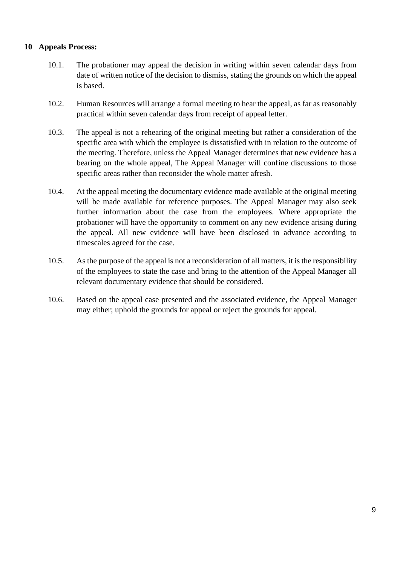### <span id="page-8-0"></span>**10 Appeals Process:**

- 10.1. The probationer may appeal the decision in writing within seven calendar days from date of written notice of the decision to dismiss, stating the grounds on which the appeal is based.
- 10.2. Human Resources will arrange a formal meeting to hear the appeal, as far as reasonably practical within seven calendar days from receipt of appeal letter.
- 10.3. The appeal is not a rehearing of the original meeting but rather a consideration of the specific area with which the employee is dissatisfied with in relation to the outcome of the meeting. Therefore, unless the Appeal Manager determines that new evidence has a bearing on the whole appeal, The Appeal Manager will confine discussions to those specific areas rather than reconsider the whole matter afresh.
- 10.4. At the appeal meeting the documentary evidence made available at the original meeting will be made available for reference purposes. The Appeal Manager may also seek further information about the case from the employees. Where appropriate the probationer will have the opportunity to comment on any new evidence arising during the appeal. All new evidence will have been disclosed in advance according to timescales agreed for the case.
- 10.5. As the purpose of the appeal is not a reconsideration of all matters, it is the responsibility of the employees to state the case and bring to the attention of the Appeal Manager all relevant documentary evidence that should be considered.
- 10.6. Based on the appeal case presented and the associated evidence, the Appeal Manager may either; uphold the grounds for appeal or reject the grounds for appeal.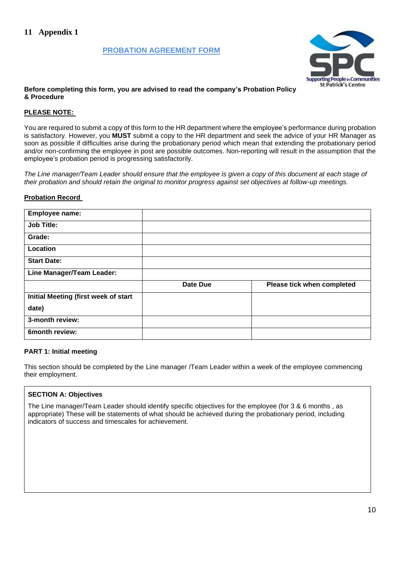#### **PROBATION AGREEMENT FORM**



#### <span id="page-9-0"></span>**Before completing this form, you are advised to read the company's Probation Policy & Procedure**

#### **PLEASE NOTE:**

You are required to submit a copy of this form to the HR department where the employee's performance during probation is satisfactory. However, you **MUST** submit a copy to the HR department and seek the advice of your HR Manager as soon as possible if difficulties arise during the probationary period which mean that extending the probationary period and/or non-confirming the employee in post are possible outcomes. Non-reporting will result in the assumption that the employee's probation period is progressing satisfactorily.

*The Line manager/Team Leader should ensure that the employee is given a copy of this document at each stage of their probation and should retain the original to monitor progress against set objectives at follow-up meetings.*

#### **Probation Record**

| Employee name:                       |          |                            |
|--------------------------------------|----------|----------------------------|
| <b>Job Title:</b>                    |          |                            |
| Grade:                               |          |                            |
| Location                             |          |                            |
| <b>Start Date:</b>                   |          |                            |
| <b>Line Manager/Team Leader:</b>     |          |                            |
|                                      | Date Due | Please tick when completed |
| Initial Meeting (first week of start |          |                            |
| date)                                |          |                            |
| 3-month review:                      |          |                            |
| 6month review:                       |          |                            |

#### **PART 1: Initial meeting**

This section should be completed by the Line manager /Team Leader within a week of the employee commencing their employment.

#### **SECTION A: Objectives**

The Line manager/Team Leader should identify specific objectives for the employee (for 3 & 6 months , as appropriate) These will be statements of what should be achieved during the probationary period, including indicators of success and timescales for achievement.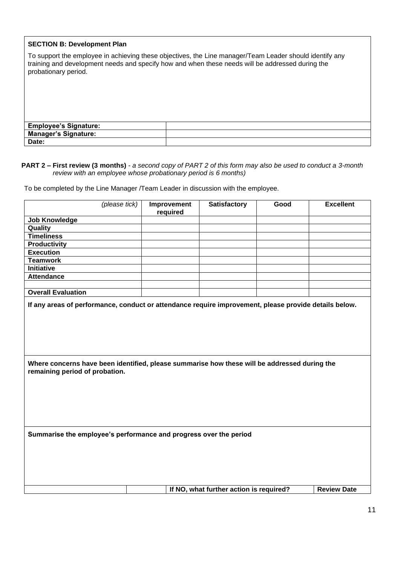#### **SECTION B: Development Plan**

To support the employee in achieving these objectives, the Line manager/Team Leader should identify any training and development needs and specify how and when these needs will be addressed during the probationary period.

**Employee's Signature: Manager's Signature: Date:**

#### **PART 2 – First review (3 months)** *- a second copy of PART 2 of this form may also be used to conduct a 3-month review with an employee whose probationary period is 6 months)*

To be completed by the Line Manager /Team Leader in discussion with the employee.

| (please tick)                                                                                                                                                                                                                           | Improvement<br>required | <b>Satisfactory</b>                     | Good | <b>Excellent</b>   |
|-----------------------------------------------------------------------------------------------------------------------------------------------------------------------------------------------------------------------------------------|-------------------------|-----------------------------------------|------|--------------------|
| <b>Job Knowledge</b>                                                                                                                                                                                                                    |                         |                                         |      |                    |
| Quality                                                                                                                                                                                                                                 |                         |                                         |      |                    |
| <b>Timeliness</b>                                                                                                                                                                                                                       |                         |                                         |      |                    |
| <b>Productivity</b>                                                                                                                                                                                                                     |                         |                                         |      |                    |
| <b>Execution</b>                                                                                                                                                                                                                        |                         |                                         |      |                    |
| <b>Teamwork</b>                                                                                                                                                                                                                         |                         |                                         |      |                    |
| <b>Initiative</b>                                                                                                                                                                                                                       |                         |                                         |      |                    |
| <b>Attendance</b>                                                                                                                                                                                                                       |                         |                                         |      |                    |
|                                                                                                                                                                                                                                         |                         |                                         |      |                    |
| <b>Overall Evaluation</b>                                                                                                                                                                                                               |                         |                                         |      |                    |
| If any areas of performance, conduct or attendance require improvement, please provide details below.<br>Where concerns have been identified, please summarise how these will be addressed during the<br>remaining period of probation. |                         |                                         |      |                    |
| Summarise the employee's performance and progress over the period                                                                                                                                                                       |                         |                                         |      |                    |
|                                                                                                                                                                                                                                         |                         | If NO, what further action is required? |      | <b>Review Date</b> |
|                                                                                                                                                                                                                                         |                         |                                         |      |                    |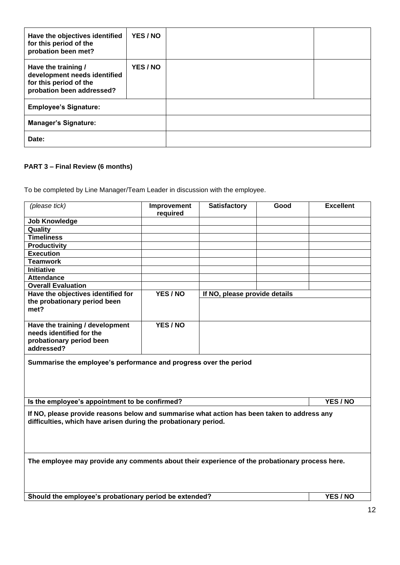| Have the objectives identified<br>for this period of the<br>probation been met?                            | YES/NO   |  |
|------------------------------------------------------------------------------------------------------------|----------|--|
| Have the training /<br>development needs identified<br>for this period of the<br>probation been addressed? | YES / NO |  |
| <b>Employee's Signature:</b>                                                                               |          |  |
| <b>Manager's Signature:</b>                                                                                |          |  |
| Date:                                                                                                      |          |  |

## **PART 3 – Final Review (6 months)**

To be completed by Line Manager/Team Leader in discussion with the employee.

| (please tick)                                                                                                                                                  | Improvement<br>required | <b>Satisfactory</b>           | Good | <b>Excellent</b> |
|----------------------------------------------------------------------------------------------------------------------------------------------------------------|-------------------------|-------------------------------|------|------------------|
| <b>Job Knowledge</b>                                                                                                                                           |                         |                               |      |                  |
| Quality                                                                                                                                                        |                         |                               |      |                  |
| <b>Timeliness</b>                                                                                                                                              |                         |                               |      |                  |
| <b>Productivity</b>                                                                                                                                            |                         |                               |      |                  |
| <b>Execution</b>                                                                                                                                               |                         |                               |      |                  |
| <b>Teamwork</b>                                                                                                                                                |                         |                               |      |                  |
| <b>Initiative</b>                                                                                                                                              |                         |                               |      |                  |
| <b>Attendance</b>                                                                                                                                              |                         |                               |      |                  |
| <b>Overall Evaluation</b>                                                                                                                                      |                         |                               |      |                  |
| Have the objectives identified for                                                                                                                             | YES / NO                | If NO, please provide details |      |                  |
| the probationary period been<br>met?                                                                                                                           |                         |                               |      |                  |
| Have the training / development<br>needs identified for the<br>probationary period been<br>addressed?                                                          | YES / NO                |                               |      |                  |
| Summarise the employee's performance and progress over the period                                                                                              |                         |                               |      |                  |
| YES/NO<br>Is the employee's appointment to be confirmed?                                                                                                       |                         |                               |      |                  |
| If NO, please provide reasons below and summarise what action has been taken to address any<br>difficulties, which have arisen during the probationary period. |                         |                               |      |                  |
| The employee may provide any comments about their experience of the probationary process here.                                                                 |                         |                               |      |                  |
| Should the employee's probationary period be extended?<br>YES / NO                                                                                             |                         |                               |      |                  |